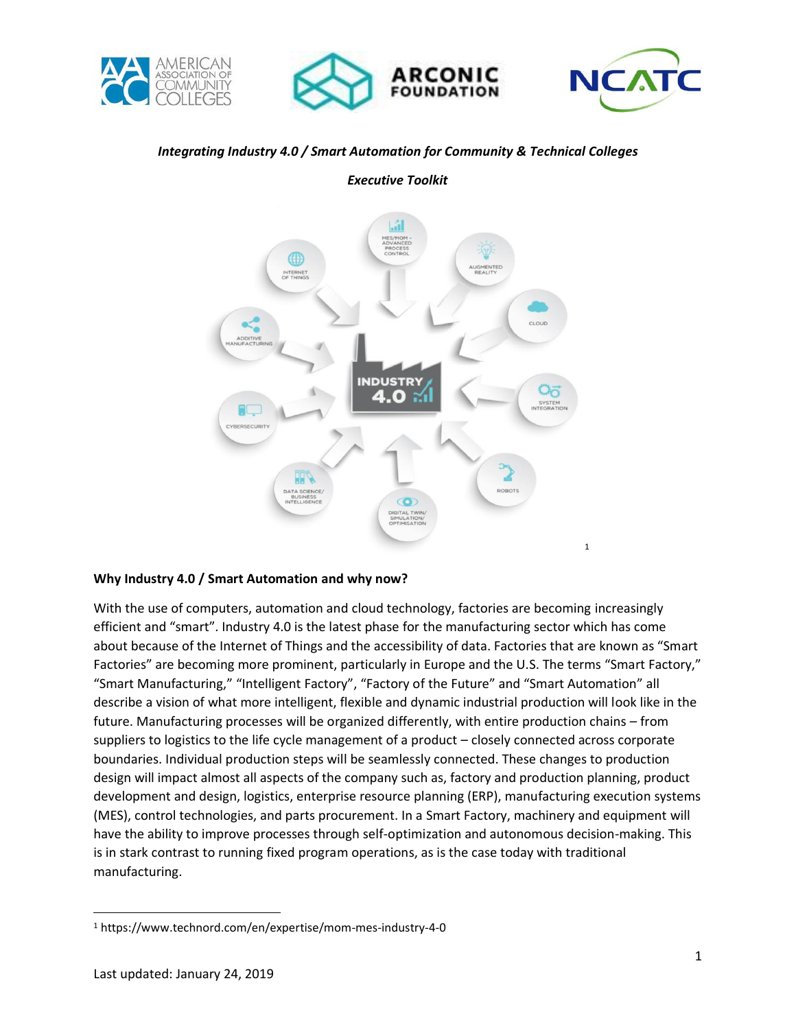





## *Integrating Industry 4.0 / Smart Automation for Community & Technical Colleges*



*Executive Toolkit*

#### **Why Industry 4.0 / Smart Automation and why now?**

With the use of computers, automation and cloud technology, factories are becoming increasingly efficient and "smart". Industry 4.0 is the latest phase for the manufacturing sector which has come about because of the Internet of Things and the accessibility of data. Factories that are known as "Smart Factories" are becoming more prominent, particularly in Europe and the U.S. The terms "Smart Factory," "Smart Manufacturing," "Intelligent Factory", "Factory of the Future" and "Smart Automation" all describe a vision of what more intelligent, flexible and dynamic industrial production will look like in the future. Manufacturing processes will be organized differently, with entire production chains – from suppliers to logistics to the life cycle management of a product – closely connected across corporate boundaries. Individual production steps will be seamlessly connected. These changes to production design will impact almost all aspects of the company such as, factory and production planning, product development and design, logistics, enterprise resource planning (ERP), manufacturing execution systems (MES), control technologies, and parts procurement. In a Smart Factory, machinery and equipment will have the ability to improve processes through self-optimization and autonomous decision-making. This is in stark contrast to running fixed program operations, as is the case today with traditional manufacturing.

l

<sup>1</sup> https://www.technord.com/en/expertise/mom-mes-industry-4-0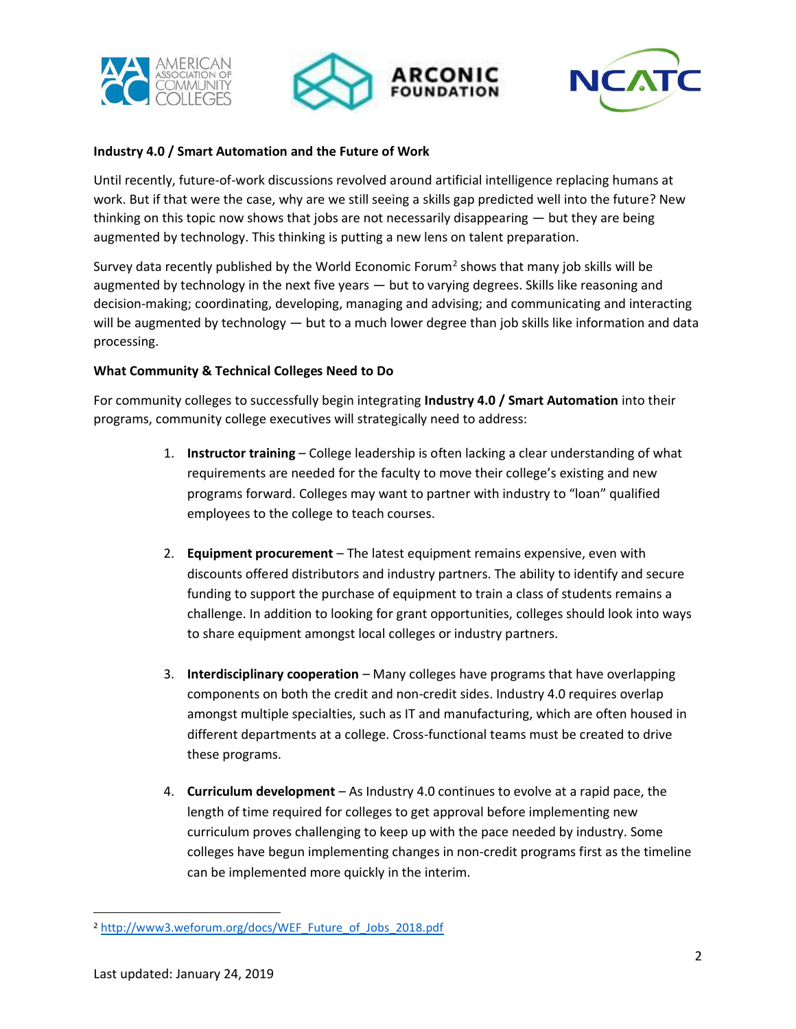





## **Industry 4.0 / Smart Automation and the Future of Work**

Until recently, future-of-work discussions revolved around artificial intelligence replacing humans at work. But if that were the case, why are we still seeing a skills gap predicted well into the future? New thinking on this topic now shows that jobs are not necessarily disappearing — but they are being augmented by technology. This thinking is putting a new lens on talent preparation.

Survey data recently published by the World Economic Forum<sup>2</sup> shows that many job skills will be augmented by technology in the next five years — but to varying degrees. Skills like reasoning and decision-making; coordinating, developing, managing and advising; and communicating and interacting will be augmented by technology — but to a much lower degree than job skills like information and data processing.

#### **What Community & Technical Colleges Need to Do**

For community colleges to successfully begin integrating **Industry 4.0 / Smart Automation** into their programs, community college executives will strategically need to address:

- 1. **Instructor training** College leadership is often lacking a clear understanding of what requirements are needed for the faculty to move their college's existing and new programs forward. Colleges may want to partner with industry to "loan" qualified employees to the college to teach courses.
- 2. **Equipment procurement** The latest equipment remains expensive, even with discounts offered distributors and industry partners. The ability to identify and secure funding to support the purchase of equipment to train a class of students remains a challenge. In addition to looking for grant opportunities, colleges should look into ways to share equipment amongst local colleges or industry partners.
- 3. **Interdisciplinary cooperation** Many colleges have programs that have overlapping components on both the credit and non-credit sides. Industry 4.0 requires overlap amongst multiple specialties, such as IT and manufacturing, which are often housed in different departments at a college. Cross-functional teams must be created to drive these programs.
- 4. **Curriculum development** As Industry 4.0 continues to evolve at a rapid pace, the length of time required for colleges to get approval before implementing new curriculum proves challenging to keep up with the pace needed by industry. Some colleges have begun implementing changes in non-credit programs first as the timeline can be implemented more quickly in the interim.

l

<sup>2</sup> [http://www3.weforum.org/docs/WEF\\_Future\\_of\\_Jobs\\_2018.pdf](http://www3.weforum.org/docs/WEF_Future_of_Jobs_2018.pdf)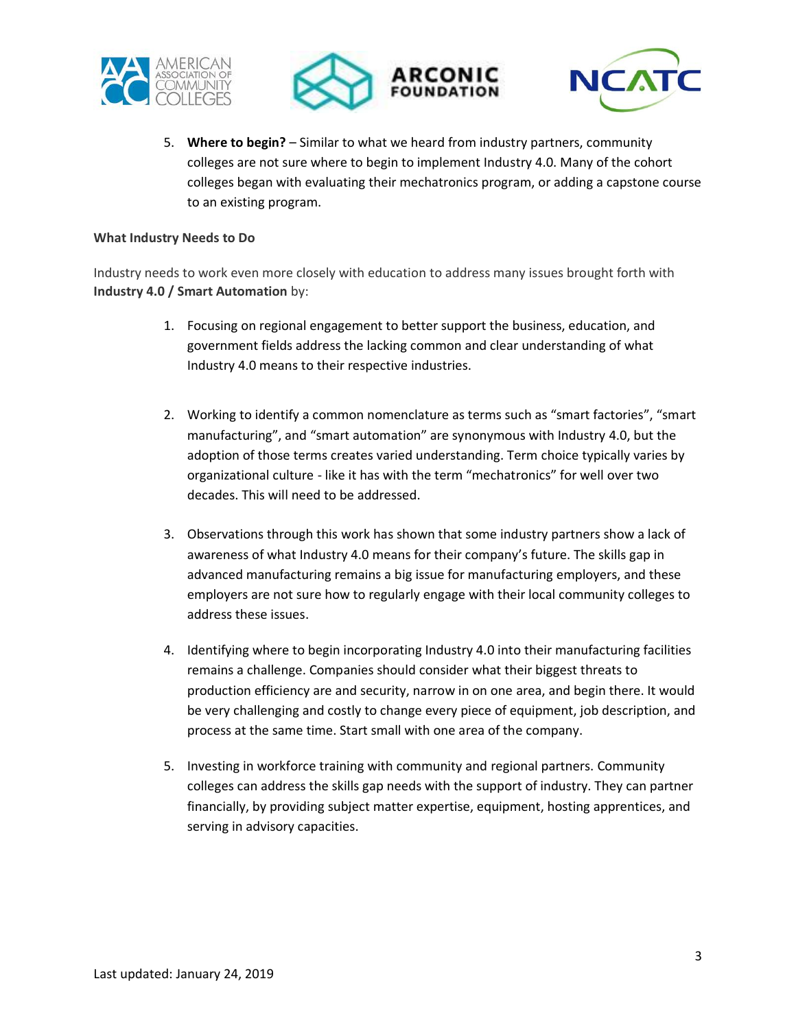





5. **Where to begin?** – Similar to what we heard from industry partners, community colleges are not sure where to begin to implement Industry 4.0. Many of the cohort colleges began with evaluating their mechatronics program, or adding a capstone course to an existing program.

#### **What Industry Needs to Do**

Industry needs to work even more closely with education to address many issues brought forth with **Industry 4.0 / Smart Automation** by:

- 1. Focusing on regional engagement to better support the business, education, and government fields address the lacking common and clear understanding of what Industry 4.0 means to their respective industries.
- 2. Working to identify a common nomenclature as terms such as "smart factories", "smart manufacturing", and "smart automation" are synonymous with Industry 4.0, but the adoption of those terms creates varied understanding. Term choice typically varies by organizational culture - like it has with the term "mechatronics" for well over two decades. This will need to be addressed.
- 3. Observations through this work has shown that some industry partners show a lack of awareness of what Industry 4.0 means for their company's future. The skills gap in advanced manufacturing remains a big issue for manufacturing employers, and these employers are not sure how to regularly engage with their local community colleges to address these issues.
- 4. Identifying where to begin incorporating Industry 4.0 into their manufacturing facilities remains a challenge. Companies should consider what their biggest threats to production efficiency are and security, narrow in on one area, and begin there. It would be very challenging and costly to change every piece of equipment, job description, and process at the same time. Start small with one area of the company.
- 5. Investing in workforce training with community and regional partners. Community colleges can address the skills gap needs with the support of industry. They can partner financially, by providing subject matter expertise, equipment, hosting apprentices, and serving in advisory capacities.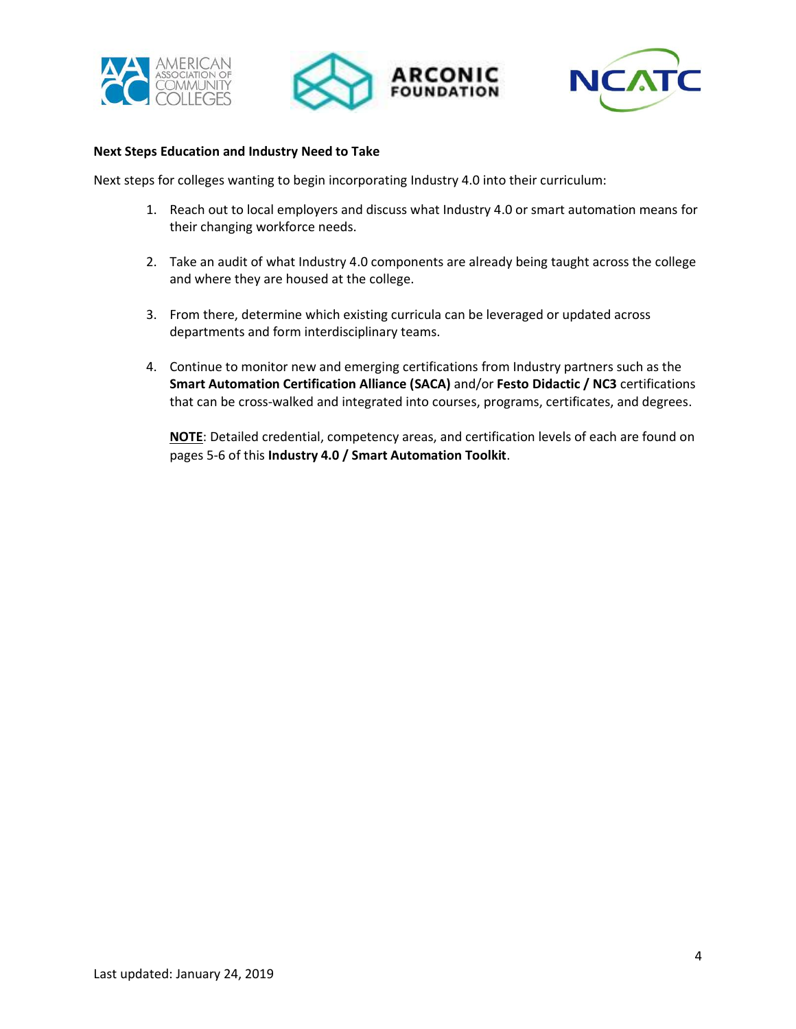





#### **Next Steps Education and Industry Need to Take**

Next steps for colleges wanting to begin incorporating Industry 4.0 into their curriculum:

- 1. Reach out to local employers and discuss what Industry 4.0 or smart automation means for their changing workforce needs.
- 2. Take an audit of what Industry 4.0 components are already being taught across the college and where they are housed at the college.
- 3. From there, determine which existing curricula can be leveraged or updated across departments and form interdisciplinary teams.
- 4. Continue to monitor new and emerging certifications from Industry partners such as the **Smart Automation Certification Alliance (SACA)** and/or **Festo Didactic / NC3** certifications that can be cross-walked and integrated into courses, programs, certificates, and degrees.

**NOTE**: Detailed credential, competency areas, and certification levels of each are found on pages 5-6 of this **Industry 4.0 / Smart Automation Toolkit**.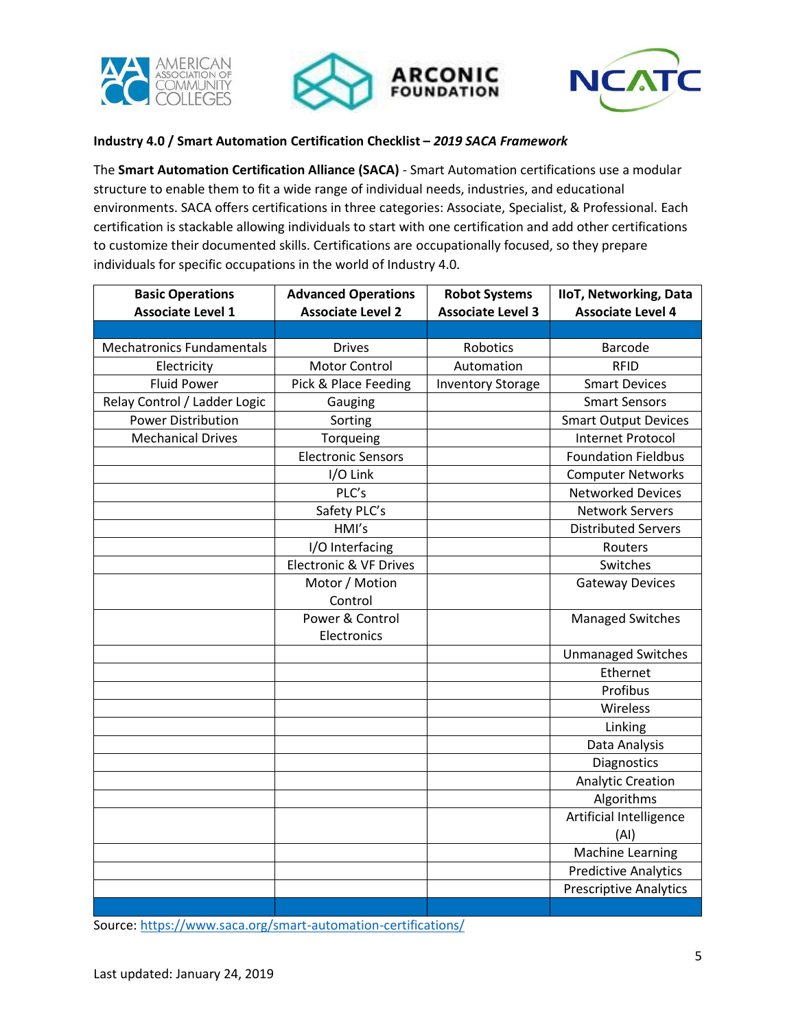





## **Industry 4.0 / Smart Automation Certification Checklist –** *2019 SACA Framework*

The **Smart Automation Certification Alliance (SACA)** - Smart Automation certifications use a modular structure to enable them to fit a wide range of individual needs, industries, and educational environments. SACA offers certifications in three categories: Associate, Specialist, & Professional. Each certification is stackable allowing individuals to start with one certification and add other certifications to customize their documented skills. Certifications are occupationally focused, so they prepare individuals for specific occupations in the world of Industry 4.0.

| <b>Basic Operations</b>          | <b>Advanced Operations</b>        | <b>Robot Systems</b>     | <b>IIoT, Networking, Data</b> |
|----------------------------------|-----------------------------------|--------------------------|-------------------------------|
| <b>Associate Level 1</b>         | <b>Associate Level 2</b>          | <b>Associate Level 3</b> | <b>Associate Level 4</b>      |
|                                  |                                   |                          |                               |
| <b>Mechatronics Fundamentals</b> | <b>Drives</b>                     | Robotics                 | <b>Barcode</b>                |
| Electricity                      | <b>Motor Control</b>              | Automation               | <b>RFID</b>                   |
| <b>Fluid Power</b>               | Pick & Place Feeding              | <b>Inventory Storage</b> | <b>Smart Devices</b>          |
| Relay Control / Ladder Logic     | Gauging                           |                          | <b>Smart Sensors</b>          |
| <b>Power Distribution</b>        | Sorting                           |                          | <b>Smart Output Devices</b>   |
| <b>Mechanical Drives</b>         | Torqueing                         |                          | <b>Internet Protocol</b>      |
|                                  | Electronic Sensors                |                          | <b>Foundation Fieldbus</b>    |
|                                  | I/O Link                          |                          | <b>Computer Networks</b>      |
|                                  | PLC's                             |                          | <b>Networked Devices</b>      |
|                                  | Safety PLC's                      |                          | <b>Network Servers</b>        |
|                                  | HMI's                             |                          | <b>Distributed Servers</b>    |
|                                  | I/O Interfacing                   |                          | Routers                       |
|                                  | <b>Electronic &amp; VF Drives</b> |                          | Switches                      |
|                                  | Motor / Motion                    |                          | <b>Gateway Devices</b>        |
|                                  | Control                           |                          |                               |
|                                  | Power & Control                   |                          | <b>Managed Switches</b>       |
|                                  | Electronics                       |                          |                               |
|                                  |                                   |                          | <b>Unmanaged Switches</b>     |
|                                  |                                   |                          | Ethernet                      |
|                                  |                                   |                          | Profibus                      |
|                                  |                                   |                          | Wireless                      |
|                                  |                                   |                          | Linking                       |
|                                  |                                   |                          | Data Analysis                 |
|                                  |                                   |                          | Diagnostics                   |
|                                  |                                   |                          | <b>Analytic Creation</b>      |
|                                  |                                   |                          | Algorithms                    |
|                                  |                                   |                          | Artificial Intelligence       |
|                                  |                                   |                          | (AI)                          |
|                                  |                                   |                          | <b>Machine Learning</b>       |
|                                  |                                   |                          | <b>Predictive Analytics</b>   |
|                                  |                                   |                          | <b>Prescriptive Analytics</b> |
|                                  |                                   |                          |                               |

Source:<https://www.saca.org/smart-automation-certifications/>